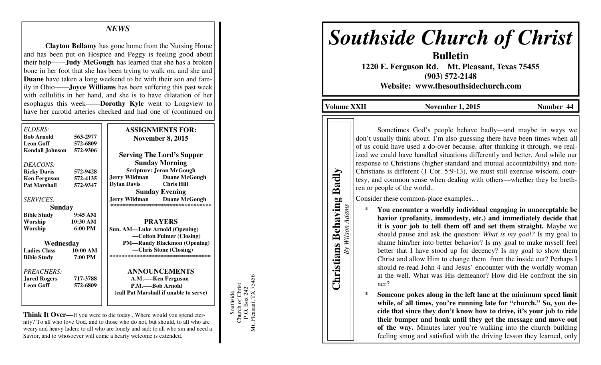## *NEWS*

 **Clayton Bellamy** has gone home from the Nursing Home and has been put on Hospice and Peggy is feeling good about their help——**Judy McGough** has learned that she has a broken bone in her foot that she has been trying to walk on, and she and **Duane** have taken a long weekend to be with their son and family in Ohio——**Joyce Williams** has been suffering this past week with cellulitis in her hand, and she is to have dilatation of her esophagus this week——**Dorothy Kyle** went to Longview to have her carotid arteries checked and had one of (continued on

| ELDERS:<br><b>Bob Arnold</b>              | 563-2977             | <b>ASSIGNMENTS FOR:</b><br><b>November 8, 2015</b>                        |
|-------------------------------------------|----------------------|---------------------------------------------------------------------------|
| <b>Leon Goff</b><br>Kendall Johnson       | 572-6809<br>572-9306 | <b>Serving The Lord's Supper</b>                                          |
| DEACONS:                                  | 572-9428             | <b>Sunday Morning</b><br><b>Scripture: Jeron McGough</b>                  |
| <b>Ricky Davis</b><br><b>Ken Ferguson</b> | 572-4135             | <b>Jerry Wildman</b><br><b>Duane McGough</b>                              |
| <b>Pat Marshall</b>                       | 572-9347             | <b>Dylan Davis</b><br><b>Chris Hill</b><br><b>Sunday Evening</b>          |
| <b>SERVICES:</b>                          |                      | <b>Jerry Wildman</b> Duane McGough<br>*********************************** |
| Sunday                                    |                      |                                                                           |
| <b>Bible Study</b>                        | 9:45AM               |                                                                           |
| Worship                                   | 10:30 AM             | <b>PRAYERS</b>                                                            |
| Worship                                   | $6:00 \text{ PM}$    | <b>Sun. AM—Luke Arnold (Opening)</b>                                      |
|                                           |                      | -Colton Fulmer (Closing)                                                  |
| Wednesday                                 |                      | <b>PM-Randy Blackmon (Opening)</b>                                        |
| <b>Ladies Class</b>                       | 10:00 AM             | -Chris Stone (Closing)                                                    |
| <b>Bible Study</b>                        | 7:00 PM              | ***********************************                                       |
| PREACHERS:                                |                      | <b>ANNOUNCEMENTS</b>                                                      |
| <b>Jared Rogers</b>                       | 717-3788             | A.M.—Ken Ferguson                                                         |
| <b>Leon Goff</b>                          | 572-6809             | P.M.—–Bob Arnold                                                          |
|                                           |                      | (call Pat Marshall if unable to serve)                                    |
|                                           |                      |                                                                           |

**Think It Over—**If you were to die today...Where would you spend eternity? To all who love God, and to those who do not, but should, to all who are weary and heavy laden; to all who are lonely and sad; to all who sin and need a Savior, and to whosoever will come a hearty welcome is extended.

Southside<br>Church of Christ<br>P.O. Box 242<br>Mt. Pleasant, TX 75456 Mt. Pleasant, TX 75456 Church of Christ P.O. Box 242 Southside

# *Southside Church of Christ*

**Bulletin 1220 E. Ferguson Rd. Mt. Pleasant, Texas 75455 (903) 572-2148** 

**Website: www.thesouthsidechurch.com** 

**Volume XXII November 1, 2015 Number 44** 

**Christians Behaving Badly**  *By Wilson Adams*

By Wilson Adams

**Christians Behaving** 

Badly

 Sometimes God's people behave badly—and maybe in ways we don't usually think about. I'm also guessing there have been times when all of us could have used a do-over because, after thinking it through, we realized we could have handled situations differently and better. And while our response to Christians (higher standard and mutual accountability) and non-Christians is different (1 Cor. 5:9-13), we must still exercise wisdom, courtesy, and common sense when dealing with others—whether they be brethren or people of the world..

Consider these common-place examples…

 \* **You encounter a worldly individual engaging in unacceptable be havior (profanity, immodesty, etc.) and immediately decide that it is your job to tell them off and set them straight.** Maybe we should pause and ask the question: *What is my goal?* Is my goal to shame him/her into better behavior? Is my goal to make myself feel better that I have stood up for decency? Is my goal to show them Christ and allow Him to change them from the inside out? Perhaps I should re-read John 4 and Jesus' encounter with the worldly woman at the well. What was His demeanor? How did He confront the sinner?

**\* Someone pokes along in the left lane at the minimum speed limit while, of all times, you're running late for "church." So, you de- cide that since they don't know how to drive, it's your job to ride their bumper and honk until they get the message and move out of the way.** Minutes later you're walking into the church building feeling smug and satisfied with the driving lesson they learned, only